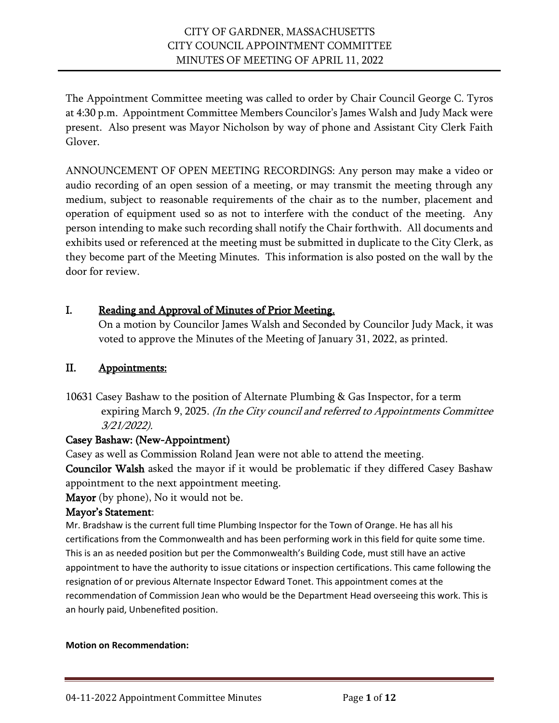The Appointment Committee meeting was called to order by Chair Council George C. Tyros at 4:30 p.m. Appointment Committee Members Councilor's James Walsh and Judy Mack were present. Also present was Mayor Nicholson by way of phone and Assistant City Clerk Faith Glover.

ANNOUNCEMENT OF OPEN MEETING RECORDINGS: Any person may make a video or audio recording of an open session of a meeting, or may transmit the meeting through any medium, subject to reasonable requirements of the chair as to the number, placement and operation of equipment used so as not to interfere with the conduct of the meeting. Any person intending to make such recording shall notify the Chair forthwith. All documents and exhibits used or referenced at the meeting must be submitted in duplicate to the City Clerk, as they become part of the Meeting Minutes. This information is also posted on the wall by the door for review.

# I. Reading and Approval of Minutes of Prior Meeting.

On a motion by Councilor James Walsh and Seconded by Councilor Judy Mack, it was voted to approve the Minutes of the Meeting of January 31, 2022, as printed.

# II. Appointments:

10631 Casey Bashaw to the position of Alternate Plumbing & Gas Inspector, for a term expiring March 9, 2025. (In the City council and referred to Appointments Committee 3/21/2022).

# Casey Bashaw: (New-Appointment)

Casey as well as Commission Roland Jean were not able to attend the meeting.

Councilor Walsh asked the mayor if it would be problematic if they differed Casey Bashaw appointment to the next appointment meeting.

Mayor (by phone), No it would not be.

# Mayor's Statement:

Mr. Bradshaw is the current full time Plumbing Inspector for the Town of Orange. He has all his certifications from the Commonwealth and has been performing work in this field for quite some time. This is an as needed position but per the Commonwealth's Building Code, must still have an active appointment to have the authority to issue citations or inspection certifications. This came following the resignation of or previous Alternate Inspector Edward Tonet. This appointment comes at the recommendation of Commission Jean who would be the Department Head overseeing this work. This is an hourly paid, Unbenefited position.

### **Motion on Recommendation:**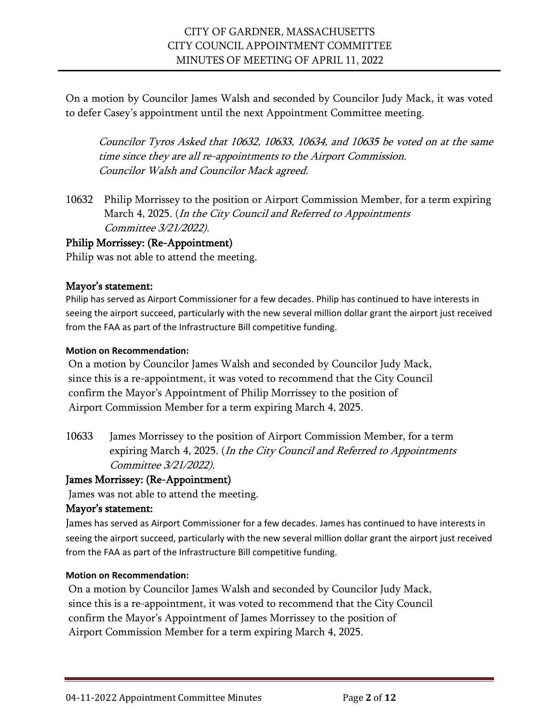On a motion by Councilor James Walsh and seconded by Councilor Judy Mack, it was voted to defer Casey's appointment until the next Appointment Committee meeting.

Councilor Tyros Asked that 10632, 10633, 10634, and 10635 be voted on at the same time since they are all re-appointments to the Airport Commission. Councilor Walsh and Councilor Mack agreed.

10632 Philip Morrissey to the position or Airport Commission Member, for a term expiring March 4, 2025. (In the City Council and Referred to Appointments Committee 3/21/2022).

# Philip Morrissey: (Re-Appointment)

Philip was not able to attend the meeting.

### Mayor's statement:

Philip has served as Airport Commissioner for a few decades. Philip has continued to have interests in seeing the airport succeed, particularly with the new several million dollar grant the airport just received from the FAA as part of the Infrastructure Bill competitive funding.

### **Motion on Recommendation:**

On a motion by Councilor James Walsh and seconded by Councilor Judy Mack, since this is a re-appointment, it was voted to recommend that the City Council confirm the Mayor's Appointment of Philip Morrissey to the position of Airport Commission Member for a term expiring March 4, 2025.

10633 James Morrissey to the position of Airport Commission Member, for a term expiring March 4, 2025. (In the City Council and Referred to Appointments Committee 3/21/2022).

### James Morrissey: (Re-Appointment)

James was not able to attend the meeting.

### Mayor's statement:

James has served as Airport Commissioner for a few decades. James has continued to have interests in seeing the airport succeed, particularly with the new several million dollar grant the airport just received from the FAA as part of the Infrastructure Bill competitive funding.

### **Motion on Recommendation:**

On a motion by Councilor James Walsh and seconded by Councilor Judy Mack, since this is a re-appointment, it was voted to recommend that the City Council confirm the Mayor's Appointment of James Morrissey to the position of Airport Commission Member for a term expiring March 4, 2025.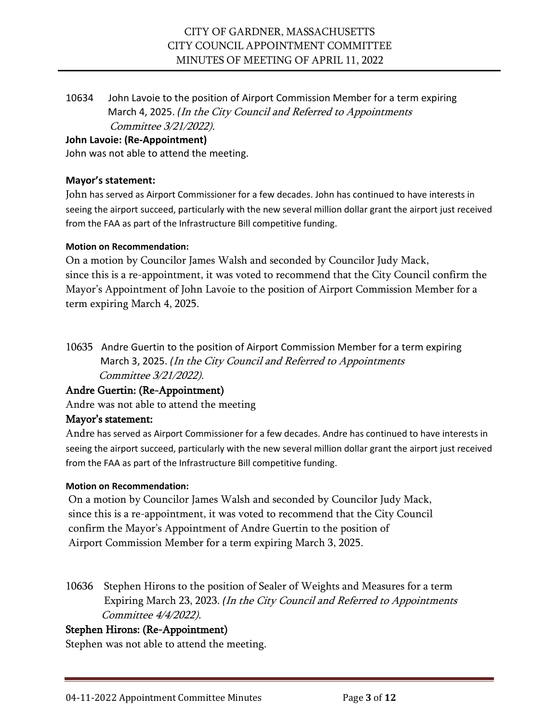10634 John Lavoie to the position of Airport Commission Member for a term expiring March 4, 2025. *(*In the City Council and Referred to Appointments Committee 3/21/2022).

### **John Lavoie: (Re-Appointment)**

John was not able to attend the meeting.

### **Mayor's statement:**

John has served as Airport Commissioner for a few decades. John has continued to have interests in seeing the airport succeed, particularly with the new several million dollar grant the airport just received from the FAA as part of the Infrastructure Bill competitive funding.

### **Motion on Recommendation:**

On a motion by Councilor James Walsh and seconded by Councilor Judy Mack, since this is a re-appointment, it was voted to recommend that the City Council confirm the Mayor's Appointment of John Lavoie to the position of Airport Commission Member for a term expiring March 4, 2025.

10635 Andre Guertin to the position of Airport Commission Member for a term expiring March 3, 2025. *(*In the City Council and Referred to Appointments Committee 3/21/2022).

# Andre Guertin: (Re-Appointment)

Andre was not able to attend the meeting

# Mayor's statement:

Andre has served as Airport Commissioner for a few decades. Andre has continued to have interests in seeing the airport succeed, particularly with the new several million dollar grant the airport just received from the FAA as part of the Infrastructure Bill competitive funding.

### **Motion on Recommendation:**

On a motion by Councilor James Walsh and seconded by Councilor Judy Mack, since this is a re-appointment, it was voted to recommend that the City Council confirm the Mayor's Appointment of Andre Guertin to the position of Airport Commission Member for a term expiring March 3, 2025.

10636 Stephen Hirons to the position of Sealer of Weights and Measures for a term Expiring March 23, 2023. *(*In the City Council and Referred to Appointments Committee 4/4/2022).

# Stephen Hirons: (Re-Appointment)

Stephen was not able to attend the meeting.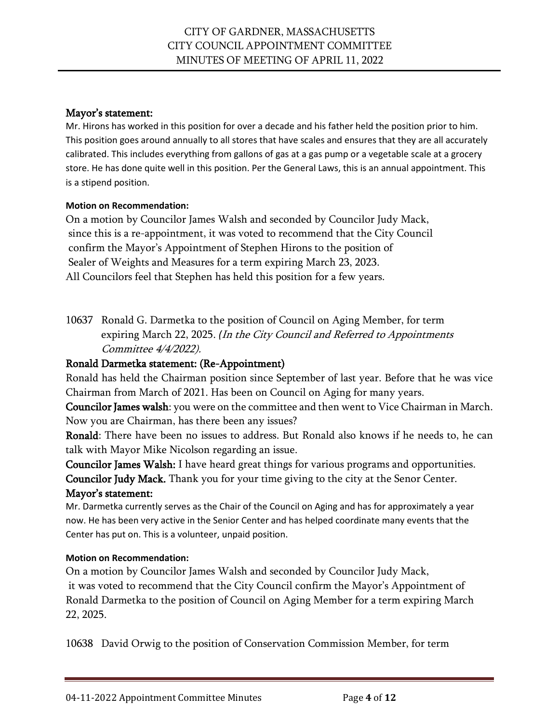Mr. Hirons has worked in this position for over a decade and his father held the position prior to him. This position goes around annually to all stores that have scales and ensures that they are all accurately calibrated. This includes everything from gallons of gas at a gas pump or a vegetable scale at a grocery store. He has done quite well in this position. Per the General Laws, this is an annual appointment. This is a stipend position.

# **Motion on Recommendation:**

On a motion by Councilor James Walsh and seconded by Councilor Judy Mack, since this is a re-appointment, it was voted to recommend that the City Council confirm the Mayor's Appointment of Stephen Hirons to the position of Sealer of Weights and Measures for a term expiring March 23, 2023. All Councilors feel that Stephen has held this position for a few years.

10637 Ronald G. Darmetka to the position of Council on Aging Member, for term expiring March 22, 2025. *(*In the City Council and Referred to Appointments Committee 4/4/2022).

# Ronald Darmetka statement: (Re-Appointment)

Ronald has held the Chairman position since September of last year. Before that he was vice Chairman from March of 2021. Has been on Council on Aging for many years.

Councilor James walsh: you were on the committee and then went to Vice Chairman in March. Now you are Chairman, has there been any issues?

Ronald: There have been no issues to address. But Ronald also knows if he needs to, he can talk with Mayor Mike Nicolson regarding an issue.

Councilor James Walsh: I have heard great things for various programs and opportunities. Councilor Judy Mack. Thank you for your time giving to the city at the Senor Center.

# Mayor's statement:

Mr. Darmetka currently serves as the Chair of the Council on Aging and has for approximately a year now. He has been very active in the Senior Center and has helped coordinate many events that the Center has put on. This is a volunteer, unpaid position.

# **Motion on Recommendation:**

On a motion by Councilor James Walsh and seconded by Councilor Judy Mack, it was voted to recommend that the City Council confirm the Mayor's Appointment of Ronald Darmetka to the position of Council on Aging Member for a term expiring March 22, 2025.

10638 David Orwig to the position of Conservation Commission Member, for term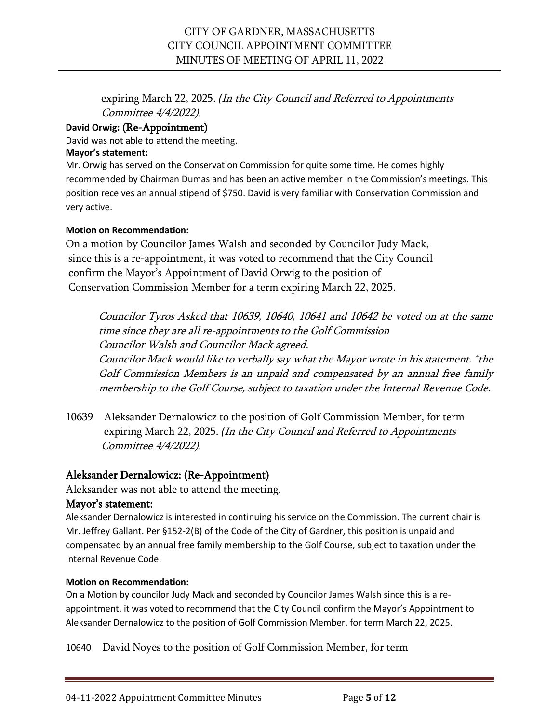expiring March 22, 2025. *(*In the City Council and Referred to Appointments Committee 4/4/2022).

# **David Orwig:** (Re-Appointment)

David was not able to attend the meeting.

### **Mayor's statement:**

Mr. Orwig has served on the Conservation Commission for quite some time. He comes highly recommended by Chairman Dumas and has been an active member in the Commission's meetings. This position receives an annual stipend of \$750. David is very familiar with Conservation Commission and very active.

### **Motion on Recommendation:**

On a motion by Councilor James Walsh and seconded by Councilor Judy Mack, since this is a re-appointment, it was voted to recommend that the City Council confirm the Mayor's Appointment of David Orwig to the position of Conservation Commission Member for a term expiring March 22, 2025.

Councilor Tyros Asked that 10639, 10640, 10641 and 10642 be voted on at the same time since they are all re-appointments to the Golf Commission Councilor Walsh and Councilor Mack agreed. Councilor Mack would like to verbally say what the Mayor wrote in his statement. "the Golf Commission Members is an unpaid and compensated by an annual free family membership to the Golf Course, subject to taxation under the Internal Revenue Code.

10639 Aleksander Dernalowicz to the position of Golf Commission Member, for term expiring March 22, 2025. *(*In the City Council and Referred to Appointments Committee 4/4/2022).

# Aleksander Dernalowicz: (Re-Appointment)

Aleksander was not able to attend the meeting.

# Mayor's statement:

Aleksander Dernalowicz is interested in continuing his service on the Commission. The current chair is Mr. Jeffrey Gallant. Per §152-2(B) of the Code of the City of Gardner, this position is unpaid and compensated by an annual free family membership to the Golf Course, subject to taxation under the Internal Revenue Code.

### **Motion on Recommendation:**

On a Motion by councilor Judy Mack and seconded by Councilor James Walsh since this is a reappointment, it was voted to recommend that the City Council confirm the Mayor's Appointment to Aleksander Dernalowicz to the position of Golf Commission Member, for term March 22, 2025.

10640 David Noyes to the position of Golf Commission Member, for term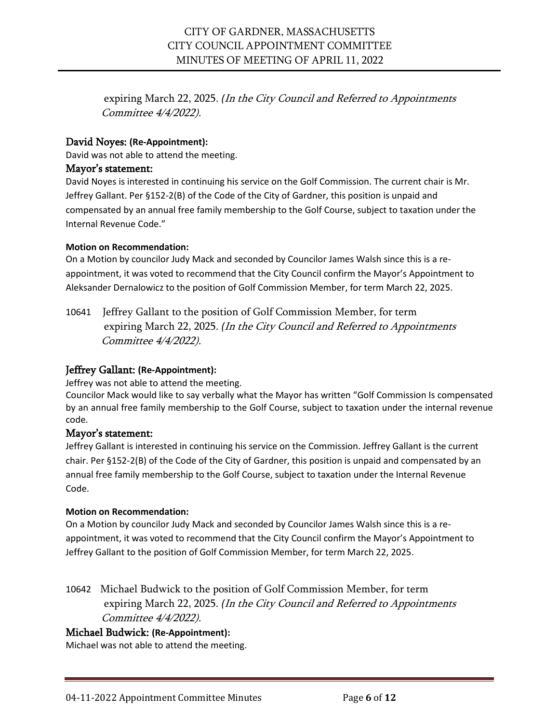expiring March 22, 2025. *(*In the City Council and Referred to Appointments Committee 4/4/2022).

### David Noyes: **(Re-Appointment):**

David was not able to attend the meeting.

### Mayor's statement:

David Noyes is interested in continuing his service on the Golf Commission. The current chair is Mr. Jeffrey Gallant. Per §152-2(B) of the Code of the City of Gardner, this position is unpaid and compensated by an annual free family membership to the Golf Course, subject to taxation under the Internal Revenue Code."

### **Motion on Recommendation:**

On a Motion by councilor Judy Mack and seconded by Councilor James Walsh since this is a reappointment, it was voted to recommend that the City Council confirm the Mayor's Appointment to Aleksander Dernalowicz to the position of Golf Commission Member, for term March 22, 2025.

10641 Jeffrey Gallant to the position of Golf Commission Member, for term expiring March 22, 2025. *(*In the City Council and Referred to Appointments Committee 4/4/2022).

# Jeffrey Gallant: **(Re-Appointment):**

Jeffrey was not able to attend the meeting.

Councilor Mack would like to say verbally what the Mayor has written "Golf Commission Is compensated by an annual free family membership to the Golf Course, subject to taxation under the internal revenue code.

### Mayor's statement:

Jeffrey Gallant is interested in continuing his service on the Commission. Jeffrey Gallant is the current chair. Per §152-2(B) of the Code of the City of Gardner, this position is unpaid and compensated by an annual free family membership to the Golf Course, subject to taxation under the Internal Revenue Code.

### **Motion on Recommendation:**

On a Motion by councilor Judy Mack and seconded by Councilor James Walsh since this is a reappointment, it was voted to recommend that the City Council confirm the Mayor's Appointment to Jeffrey Gallant to the position of Golf Commission Member, for term March 22, 2025.

10642 Michael Budwick to the position of Golf Commission Member, for term expiring March 22, 2025. *(*In the City Council and Referred to Appointments Committee 4/4/2022).

# Michael Budwick: **(Re-Appointment):**

Michael was not able to attend the meeting.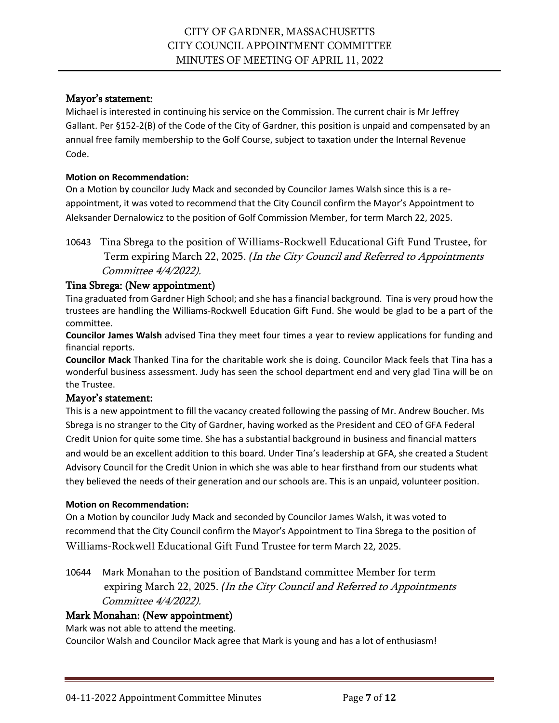Michael is interested in continuing his service on the Commission. The current chair is Mr Jeffrey Gallant. Per §152-2(B) of the Code of the City of Gardner, this position is unpaid and compensated by an annual free family membership to the Golf Course, subject to taxation under the Internal Revenue Code.

### **Motion on Recommendation:**

On a Motion by councilor Judy Mack and seconded by Councilor James Walsh since this is a reappointment, it was voted to recommend that the City Council confirm the Mayor's Appointment to Aleksander Dernalowicz to the position of Golf Commission Member, for term March 22, 2025.

10643 Tina Sbrega to the position of Williams-Rockwell Educational Gift Fund Trustee, for Term expiring March 22, 2025. *(*In the City Council and Referred to Appointments Committee 4/4/2022).

# Tina Sbrega: (New appointment)

Tina graduated from Gardner High School; and she has a financial background. Tina is very proud how the trustees are handling the Williams-Rockwell Education Gift Fund. She would be glad to be a part of the committee.

**Councilor James Walsh** advised Tina they meet four times a year to review applications for funding and financial reports.

**Councilor Mack** Thanked Tina for the charitable work she is doing. Councilor Mack feels that Tina has a wonderful business assessment. Judy has seen the school department end and very glad Tina will be on the Trustee.

# Mayor's statement:

This is a new appointment to fill the vacancy created following the passing of Mr. Andrew Boucher. Ms Sbrega is no stranger to the City of Gardner, having worked as the President and CEO of GFA Federal Credit Union for quite some time. She has a substantial background in business and financial matters and would be an excellent addition to this board. Under Tina's leadership at GFA, she created a Student Advisory Council for the Credit Union in which she was able to hear firsthand from our students what they believed the needs of their generation and our schools are. This is an unpaid, volunteer position.

### **Motion on Recommendation:**

On a Motion by councilor Judy Mack and seconded by Councilor James Walsh, it was voted to recommend that the City Council confirm the Mayor's Appointment to Tina Sbrega to the position of Williams-Rockwell Educational Gift Fund Trustee for term March 22, 2025.

10644 Mark Monahan to the position of Bandstand committee Member for term expiring March 22, 2025. *(*In the City Council and Referred to Appointments Committee 4/4/2022).

# Mark Monahan: (New appointment)

Mark was not able to attend the meeting.

Councilor Walsh and Councilor Mack agree that Mark is young and has a lot of enthusiasm!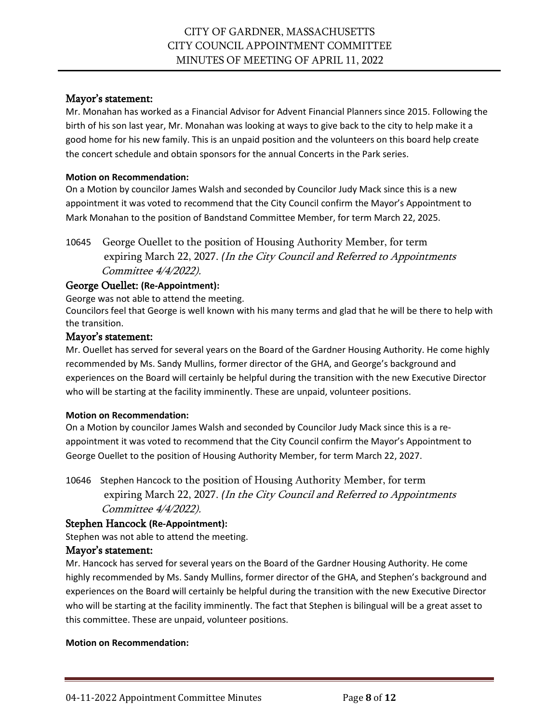Mr. Monahan has worked as a Financial Advisor for Advent Financial Planners since 2015. Following the birth of his son last year, Mr. Monahan was looking at ways to give back to the city to help make it a good home for his new family. This is an unpaid position and the volunteers on this board help create the concert schedule and obtain sponsors for the annual Concerts in the Park series.

### **Motion on Recommendation:**

On a Motion by councilor James Walsh and seconded by Councilor Judy Mack since this is a new appointment it was voted to recommend that the City Council confirm the Mayor's Appointment to Mark Monahan to the position of Bandstand Committee Member, for term March 22, 2025.

10645 George Ouellet to the position of Housing Authority Member, for term expiring March 22, 2027. *(*In the City Council and Referred to Appointments Committee 4/4/2022).

# George Ouellet: **(Re-Appointment):**

George was not able to attend the meeting.

Councilors feel that George is well known with his many terms and glad that he will be there to help with the transition.

### Mayor's statement:

Mr. Ouellet has served for several years on the Board of the Gardner Housing Authority. He come highly recommended by Ms. Sandy Mullins, former director of the GHA, and George's background and experiences on the Board will certainly be helpful during the transition with the new Executive Director who will be starting at the facility imminently. These are unpaid, volunteer positions.

### **Motion on Recommendation:**

On a Motion by councilor James Walsh and seconded by Councilor Judy Mack since this is a reappointment it was voted to recommend that the City Council confirm the Mayor's Appointment to George Ouellet to the position of Housing Authority Member, for term March 22, 2027.

10646 Stephen Hancock to the position of Housing Authority Member, for term expiring March 22, 2027. *(*In the City Council and Referred to Appointments Committee 4/4/2022).

# Stephen Hancock **(Re-Appointment):**

Stephen was not able to attend the meeting.

### Mayor's statement:

Mr. Hancock has served for several years on the Board of the Gardner Housing Authority. He come highly recommended by Ms. Sandy Mullins, former director of the GHA, and Stephen's background and experiences on the Board will certainly be helpful during the transition with the new Executive Director who will be starting at the facility imminently. The fact that Stephen is bilingual will be a great asset to this committee. These are unpaid, volunteer positions.

### **Motion on Recommendation:**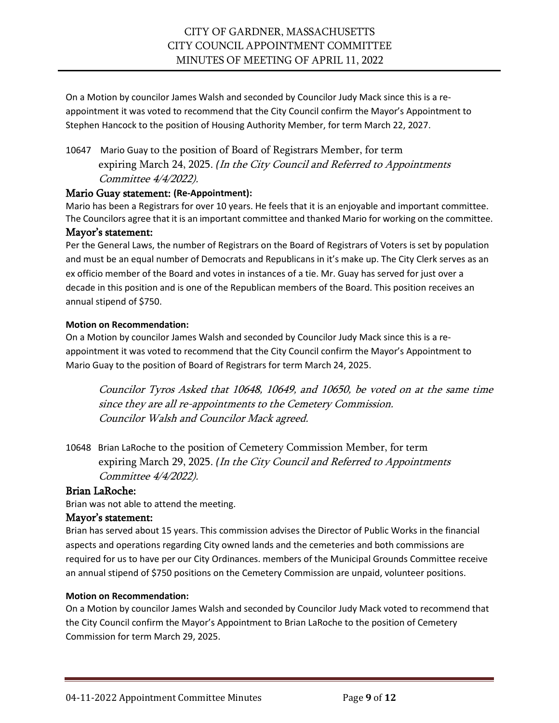On a Motion by councilor James Walsh and seconded by Councilor Judy Mack since this is a reappointment it was voted to recommend that the City Council confirm the Mayor's Appointment to Stephen Hancock to the position of Housing Authority Member, for term March 22, 2027.

10647 Mario Guay to the position of Board of Registrars Member, for term expiring March 24, 2025. *(*In the City Council and Referred to Appointments Committee 4/4/2022).

### Mario Guay statement: **(Re-Appointment):**

Mario has been a Registrars for over 10 years. He feels that it is an enjoyable and important committee. The Councilors agree that it is an important committee and thanked Mario for working on the committee.

### Mayor's statement:

Per the General Laws, the number of Registrars on the Board of Registrars of Voters is set by population and must be an equal number of Democrats and Republicans in it's make up. The City Clerk serves as an ex officio member of the Board and votes in instances of a tie. Mr. Guay has served for just over a decade in this position and is one of the Republican members of the Board. This position receives an annual stipend of \$750.

### **Motion on Recommendation:**

On a Motion by councilor James Walsh and seconded by Councilor Judy Mack since this is a reappointment it was voted to recommend that the City Council confirm the Mayor's Appointment to Mario Guay to the position of Board of Registrars for term March 24, 2025.

Councilor Tyros Asked that 10648, 10649, and 10650, be voted on at the same time since they are all re-appointments to the Cemetery Commission. Councilor Walsh and Councilor Mack agreed.

10648 Brian LaRoche to the position of Cemetery Commission Member, for term expiring March 29, 2025. *(*In the City Council and Referred to Appointments Committee 4/4/2022).

# Brian LaRoche:

Brian was not able to attend the meeting.

### Mayor's statement:

Brian has served about 15 years. This commission advises the Director of Public Works in the financial aspects and operations regarding City owned lands and the cemeteries and both commissions are required for us to have per our City Ordinances. members of the Municipal Grounds Committee receive an annual stipend of \$750 positions on the Cemetery Commission are unpaid, volunteer positions.

### **Motion on Recommendation:**

On a Motion by councilor James Walsh and seconded by Councilor Judy Mack voted to recommend that the City Council confirm the Mayor's Appointment to Brian LaRoche to the position of Cemetery Commission for term March 29, 2025.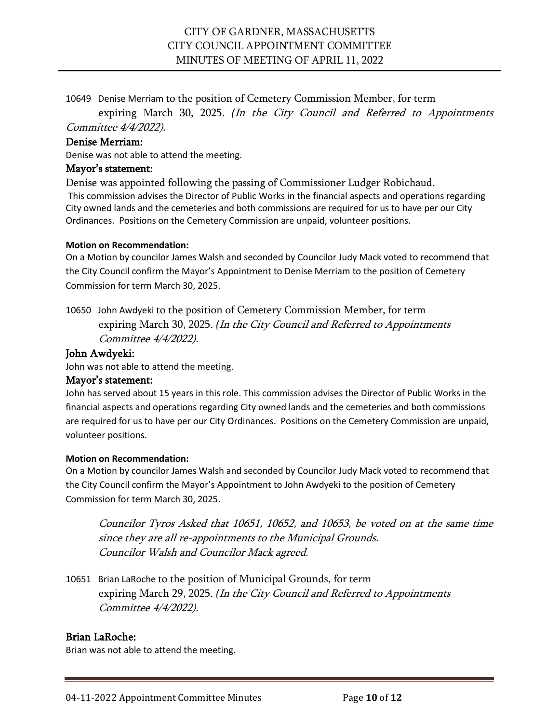10649 Denise Merriam to the position of Cemetery Commission Member, for term

 expiring March 30, 2025. *(*In the City Council and Referred to Appointments Committee 4/4/2022).

### Denise Merriam:

Denise was not able to attend the meeting.

### Mayor's statement:

Denise was appointed following the passing of Commissioner Ludger Robichaud. This commission advises the Director of Public Works in the financial aspects and operations regarding City owned lands and the cemeteries and both commissions are required for us to have per our City Ordinances. Positions on the Cemetery Commission are unpaid, volunteer positions.

#### **Motion on Recommendation:**

On a Motion by councilor James Walsh and seconded by Councilor Judy Mack voted to recommend that the City Council confirm the Mayor's Appointment to Denise Merriam to the position of Cemetery Commission for term March 30, 2025.

10650 John Awdyeki to the position of Cemetery Commission Member, for term expiring March 30, 2025. *(*In the City Council and Referred to Appointments Committee 4/4/2022).

### John Awdyeki:

John was not able to attend the meeting.

### Mayor's statement:

John has served about 15 years in this role. This commission advises the Director of Public Works in the financial aspects and operations regarding City owned lands and the cemeteries and both commissions are required for us to have per our City Ordinances. Positions on the Cemetery Commission are unpaid, volunteer positions.

#### **Motion on Recommendation:**

On a Motion by councilor James Walsh and seconded by Councilor Judy Mack voted to recommend that the City Council confirm the Mayor's Appointment to John Awdyeki to the position of Cemetery Commission for term March 30, 2025.

Councilor Tyros Asked that 10651, 10652, and 10653, be voted on at the same time since they are all re-appointments to the Municipal Grounds. Councilor Walsh and Councilor Mack agreed.

10651 Brian LaRoche to the position of Municipal Grounds, for term expiring March 29, 2025. *(*In the City Council and Referred to Appointments Committee 4/4/2022).

### Brian LaRoche:

Brian was not able to attend the meeting.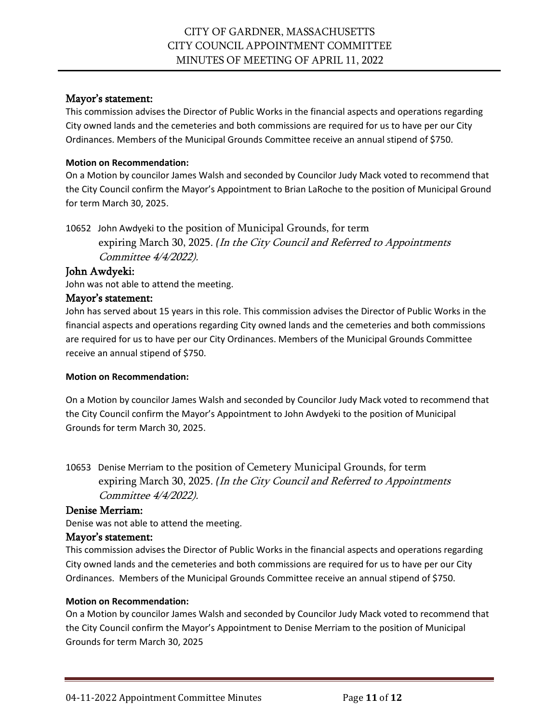This commission advises the Director of Public Works in the financial aspects and operations regarding City owned lands and the cemeteries and both commissions are required for us to have per our City Ordinances. Members of the Municipal Grounds Committee receive an annual stipend of \$750.

### **Motion on Recommendation:**

On a Motion by councilor James Walsh and seconded by Councilor Judy Mack voted to recommend that the City Council confirm the Mayor's Appointment to Brian LaRoche to the position of Municipal Ground for term March 30, 2025.

10652 John Awdyeki to the position of Municipal Grounds, for term expiring March 30, 2025. *(*In the City Council and Referred to Appointments Committee 4/4/2022).

### John Awdyeki:

John was not able to attend the meeting.

### Mayor's statement:

John has served about 15 years in this role. This commission advises the Director of Public Works in the financial aspects and operations regarding City owned lands and the cemeteries and both commissions are required for us to have per our City Ordinances. Members of the Municipal Grounds Committee receive an annual stipend of \$750.

### **Motion on Recommendation:**

On a Motion by councilor James Walsh and seconded by Councilor Judy Mack voted to recommend that the City Council confirm the Mayor's Appointment to John Awdyeki to the position of Municipal Grounds for term March 30, 2025.

10653 Denise Merriam to the position of Cemetery Municipal Grounds, for term expiring March 30, 2025. *(*In the City Council and Referred to Appointments Committee 4/4/2022).

# Denise Merriam:

Denise was not able to attend the meeting.

# Mayor's statement:

This commission advises the Director of Public Works in the financial aspects and operations regarding City owned lands and the cemeteries and both commissions are required for us to have per our City Ordinances. Members of the Municipal Grounds Committee receive an annual stipend of \$750.

### **Motion on Recommendation:**

On a Motion by councilor James Walsh and seconded by Councilor Judy Mack voted to recommend that the City Council confirm the Mayor's Appointment to Denise Merriam to the position of Municipal Grounds for term March 30, 2025